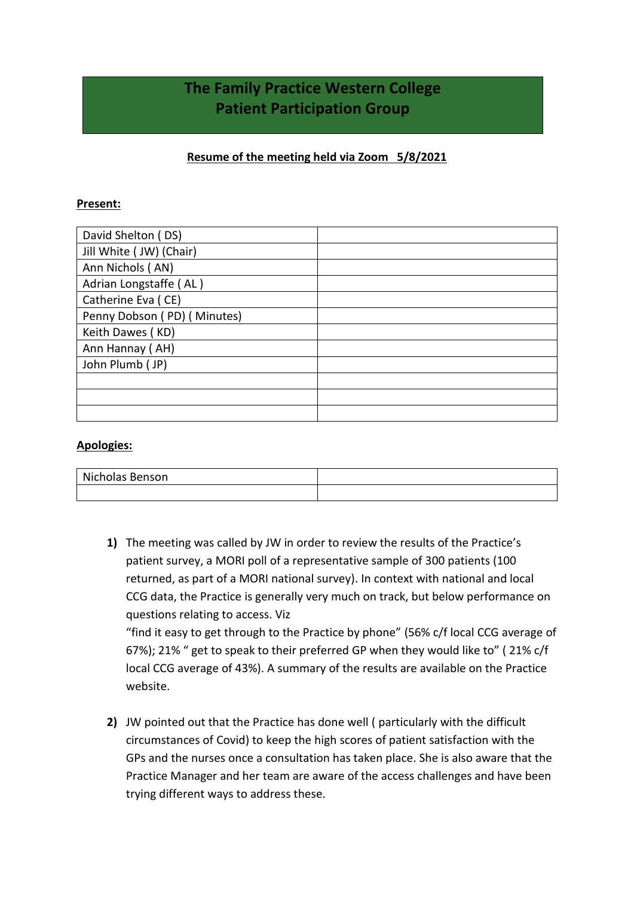## **The Family Practice Western College Patient Participation Group**

## **Resume of the meeting held via Zoom 5/8/2021**

## **Present:**

| David Shelton (DS)          |  |
|-----------------------------|--|
| Jill White ( JW) (Chair)    |  |
| Ann Nichols (AN)            |  |
| Adrian Longstaffe (AL)      |  |
| Catherine Eva (CE)          |  |
| Penny Dobson (PD) (Minutes) |  |
| Keith Dawes (KD)            |  |
| Ann Hannay (AH)             |  |
| John Plumb (JP)             |  |
|                             |  |
|                             |  |
|                             |  |

## **Apologies:**

| Nicholas Benson |  |
|-----------------|--|
|                 |  |

**1)** The meeting was called by JW in order to review the results of the Practice's patient survey, a MORI poll of a representative sample of 300 patients (100 returned, as part of a MORI national survey). In context with national and local CCG data, the Practice is generally very much on track, but below performance on questions relating to access. Viz "find it easy to get through to the Practice by phone" (56% c/f local CCG average of 67%); 21% " get to speak to their preferred GP when they would like to" ( 21% c/f

local CCG average of 43%). A summary of the results are available on the Practice website.

**2)** JW pointed out that the Practice has done well ( particularly with the difficult circumstances of Covid) to keep the high scores of patient satisfaction with the GPs and the nurses once a consultation has taken place. She is also aware that the Practice Manager and her team are aware of the access challenges and have been trying different ways to address these.